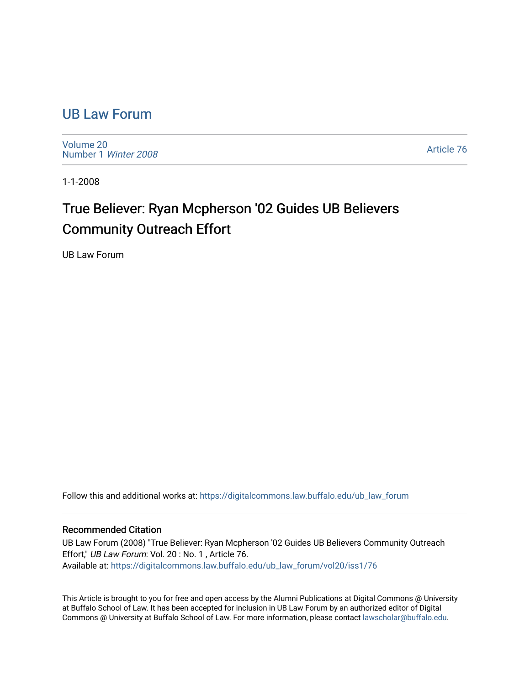## [UB Law Forum](https://digitalcommons.law.buffalo.edu/ub_law_forum)

[Volume 20](https://digitalcommons.law.buffalo.edu/ub_law_forum/vol20) [Number 1](https://digitalcommons.law.buffalo.edu/ub_law_forum/vol20/iss1) Winter 2008

[Article 76](https://digitalcommons.law.buffalo.edu/ub_law_forum/vol20/iss1/76) 

1-1-2008

## True Believer: Ryan Mcpherson '02 Guides UB Believers Community Outreach Effort

UB Law Forum

Follow this and additional works at: [https://digitalcommons.law.buffalo.edu/ub\\_law\\_forum](https://digitalcommons.law.buffalo.edu/ub_law_forum?utm_source=digitalcommons.law.buffalo.edu%2Fub_law_forum%2Fvol20%2Fiss1%2F76&utm_medium=PDF&utm_campaign=PDFCoverPages) 

## Recommended Citation

UB Law Forum (2008) "True Believer: Ryan Mcpherson '02 Guides UB Believers Community Outreach Effort," UB Law Forum: Vol. 20 : No. 1 , Article 76. Available at: [https://digitalcommons.law.buffalo.edu/ub\\_law\\_forum/vol20/iss1/76](https://digitalcommons.law.buffalo.edu/ub_law_forum/vol20/iss1/76?utm_source=digitalcommons.law.buffalo.edu%2Fub_law_forum%2Fvol20%2Fiss1%2F76&utm_medium=PDF&utm_campaign=PDFCoverPages) 

This Article is brought to you for free and open access by the Alumni Publications at Digital Commons @ University at Buffalo School of Law. It has been accepted for inclusion in UB Law Forum by an authorized editor of Digital Commons @ University at Buffalo School of Law. For more information, please contact [lawscholar@buffalo.edu](mailto:lawscholar@buffalo.edu).